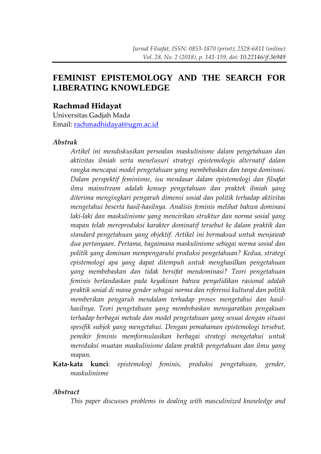# **FEMINIST EPISTEMOLOGY AND THE SEARCH FOR LIBERATING KNOWLEDGE**

#### **Rachmad Hidayat**

Universitas Gadjah Mada Email: [rachmadhidayat@ugm.ac.id](mailto:rachmadhidayat@ugm.ac.id)

#### *Abstrak*

*Artikel ini mendiskusikan persoalan maskulinisme dalam pengetahuan dan aktivitas ilmiah serta menelusuri strategi epistemologis alternatif dalam rangka mencapai model pengetahuan yang membebaskan dan tanpa dominasi. Dalam perspektif feminisme, isu mendasar dalam epistemologi dan filsafat ilmu mainstream adalah konsep pengetahuan dan praktek ilmiah yang diterima mengingkari pengaruh dimensi sosial dan politik terhadap aktivitas mengetahui beserta hasil-hasilnya. Analisis feminis melihat bahwa dominasi laki-laki dan maskulinisme yang mencirikan struktur dan norma sosial yang mapan telah mereproduksi karakter dominatif tersebut ke dalam praktik dan standard pengetahuan yang objektif. Artikel ini bermaksud untuk menjawab dua pertanyaan. Pertama, bagaimana maskulinisme sebagai norma sosial dan politik yang dominan mempengaruhi produksi pengetahuan? Kedua, strategi epistemologi apa yang dapat ditempuh untuk menghasilkan pengetahuan yang membebaskan dan tidak bersifat mendominasi? Teori pengetahuan feminis berlandaskan pada keyakinan bahwa penyelidikan rasional adalah praktik sosial di mana gender sebagai norma dan referensi kultural dan politik memberikan pengaruh mendalam terhadap proses mengetahui dan hasilhasilnya. Teori pengetahuan yang membebaskan mensyaratkan pengakuan terhadap berbagai metode dan model pengetahuan yang sesuai dengan situasi spesifik subjek yang mengetahui. Dengan pemahaman epistemologi tersebut, pemikir feminis memformulasikan berbagai strategi mengetahui untuk mereduksi muatan maskulinisme dalam praktik pengetahuan dan ilmu yang mapan.*

**Kata-kata kunci**: *epistemologi feminis, produksi pengetahuan, gender, maskulinisme*

#### *Abstract*

*This paper discusses problems in dealing with masculinized knowledge and*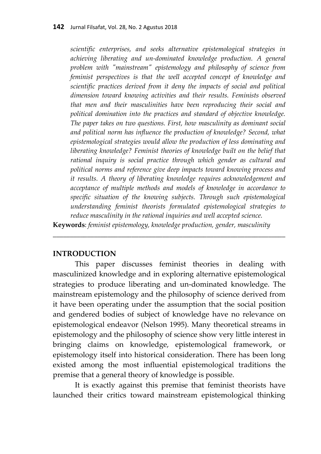*scientific enterprises, and seeks alternative epistemological strategies in achieving liberating and un-dominated knowledge production. A general problem with "mainstream" epistemology and philosophy of science from feminist perspectives is that the well accepted concept of knowledge and scientific practices derived from it deny the impacts of social and political dimension toward knowing activities and their results. Feminists observed that men and their masculinities have been reproducing their social and political domination into the practices and standard of objective knowledge. The paper takes on two questions. First, how masculinity as dominant social and political norm has influence the production of knowledge? Second, what epistemological strategies would allow the production of less dominating and liberating knowledge? Feminist theories of knowledge built on the belief that rational inquiry is social practice through which gender as cultural and political norms and reference give deep impacts toward knowing process and it results. A theory of liberating knowledge requires acknowledgement and acceptance of multiple methods and models of knowledge in accordance to specific situation of the knowing subjects. Through such epistemological understanding feminist theorists formulated epistemological strategies to reduce masculinity in the rational inquiries and well accepted science.*

**Keywords**: *feminist epistemology, knowledge production, gender, masculinity*

\_\_\_\_\_\_\_\_\_\_\_\_\_\_\_\_\_\_\_\_\_\_\_\_\_\_\_\_\_\_\_\_\_\_\_\_\_\_\_\_\_\_\_\_\_\_\_\_\_\_\_\_\_\_\_\_\_\_\_\_\_\_\_\_\_\_\_\_

### **INTRODUCTION**

This paper discusses feminist theories in dealing with masculinized knowledge and in exploring alternative epistemological strategies to produce liberating and un-dominated knowledge. The mainstream epistemology and the philosophy of science derived from it have been operating under the assumption that the social position and gendered bodies of subject of knowledge have no relevance on epistemological endeavor (Nelson 1995). Many theoretical streams in epistemology and the philosophy of science show very little interest in bringing claims on knowledge, epistemological framework, or epistemology itself into historical consideration. There has been long existed among the most influential epistemological traditions the premise that a general theory of knowledge is possible.

It is exactly against this premise that feminist theorists have launched their critics toward mainstream epistemological thinking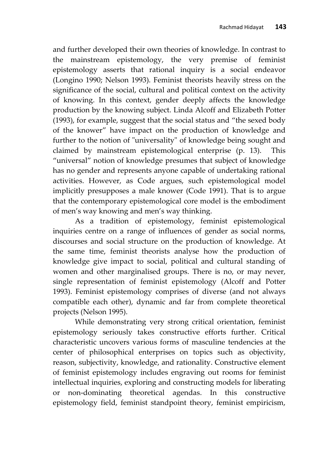and further developed their own theories of knowledge. In contrast to the mainstream epistemology, the very premise of feminist epistemology asserts that rational inquiry is a social endeavor (Longino 1990; Nelson 1993). Feminist theorists heavily stress on the significance of the social, cultural and political context on the activity of knowing. In this context, gender deeply affects the knowledge production by the knowing subject. Linda Alcoff and Elizabeth Potter (1993), for example, suggest that the social status and "the sexed body of the knower" have impact on the production of knowledge and further to the notion of "universality" of knowledge being sought and claimed by mainstream epistemological enterprise (p. 13). This "universal" notion of knowledge presumes that subject of knowledge has no gender and represents anyone capable of undertaking rational activities. However, as Code argues, such epistemological model implicitly presupposes a male knower (Code 1991). That is to argue that the contemporary epistemological core model is the embodiment of men's way knowing and men's way thinking.

As a tradition of epistemology, feminist epistemological inquiries centre on a range of influences of gender as social norms, discourses and social structure on the production of knowledge. At the same time, feminist theorists analyse how the production of knowledge give impact to social, political and cultural standing of women and other marginalised groups. There is no, or may never, single representation of feminist epistemology (Alcoff and Potter 1993). Feminist epistemology comprises of diverse (and not always compatible each other), dynamic and far from complete theoretical projects (Nelson 1995).

While demonstrating very strong critical orientation, feminist epistemology seriously takes constructive efforts further. Critical characteristic uncovers various forms of masculine tendencies at the center of philosophical enterprises on topics such as objectivity, reason, subjectivity, knowledge, and rationality. Constructive element of feminist epistemology includes engraving out rooms for feminist intellectual inquiries, exploring and constructing models for liberating or non-dominating theoretical agendas. In this constructive epistemology field, feminist standpoint theory, feminist empiricism,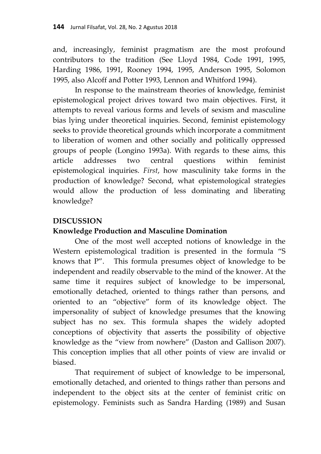and, increasingly, feminist pragmatism are the most profound contributors to the tradition (See Lloyd 1984, Code 1991, 1995, Harding 1986, 1991, Rooney 1994, 1995, Anderson 1995, Solomon 1995, also Alcoff and Potter 1993, Lennon and Whitford 1994).

In response to the mainstream theories of knowledge, feminist epistemological project drives toward two main objectives. First, it attempts to reveal various forms and levels of sexism and masculine bias lying under theoretical inquiries. Second, feminist epistemology seeks to provide theoretical grounds which incorporate a commitment to liberation of women and other socially and politically oppressed groups of people (Longino 1993a). With regards to these aims, this article addresses two central questions within feminist epistemological inquiries. *First*, how masculinity take forms in the production of knowledge? Second, what epistemological strategies would allow the production of less dominating and liberating knowledge?

## **DISCUSSION**

### **Knowledge Production and Masculine Domination**

One of the most well accepted notions of knowledge in the Western epistemological tradition is presented in the formula "S knows that P". This formula presumes object of knowledge to be independent and readily observable to the mind of the knower. At the same time it requires subject of knowledge to be impersonal, emotionally detached, oriented to things rather than persons, and oriented to an "objective" form of its knowledge object. The impersonality of subject of knowledge presumes that the knowing subject has no sex. This formula shapes the widely adopted conceptions of objectivity that asserts the possibility of objective knowledge as the "view from nowhere" (Daston and Gallison 2007). This conception implies that all other points of view are invalid or biased.

That requirement of subject of knowledge to be impersonal, emotionally detached, and oriented to things rather than persons and independent to the object sits at the center of feminist critic on epistemology. Feminists such as Sandra Harding (1989) and Susan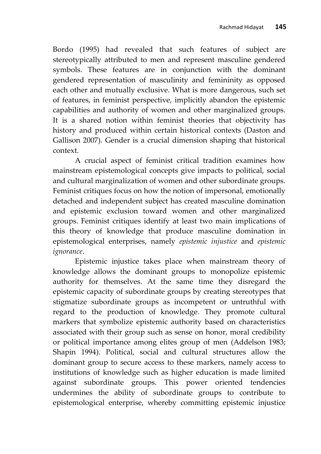Bordo (1995) had revealed that such features of subject are stereotypically attributed to men and represent masculine gendered symbols. These features are in conjunction with the dominant gendered representation of masculinity and femininity as opposed each other and mutually exclusive. What is more dangerous, such set of features, in feminist perspective, implicitly abandon the epistemic capabilities and authority of women and other marginalized groups. It is a shared notion within feminist theories that objectivity has history and produced within certain historical contexts (Daston and Gallison 2007). Gender is a crucial dimension shaping that historical context.

A crucial aspect of feminist critical tradition examines how mainstream epistemological concepts give impacts to political, social and cultural marginalization of women and other subordinate groups. Feminist critiques focus on how the notion of impersonal, emotionally detached and independent subject has created masculine domination and epistemic exclusion toward women and other marginalized groups. Feminist critiques identify at least two main implications of this theory of knowledge that produce masculine domination in epistemological enterprises, namely *epistemic injustice* and *epistemic ignorance*.

Epistemic injustice takes place when mainstream theory of knowledge allows the dominant groups to monopolize epistemic authority for themselves. At the same time they disregard the epistemic capacity of subordinate groups by creating stereotypes that stigmatize subordinate groups as incompetent or untruthful with regard to the production of knowledge. They promote cultural markers that symbolize epistemic authority based on characteristics associated with their group such as sense on honor, moral credibility or political importance among elites group of men (Addelson 1983; Shapin 1994). Political, social and cultural structures allow the dominant group to secure access to these markers, namely access to institutions of knowledge such as higher education is made limited against subordinate groups. This power oriented tendencies undermines the ability of subordinate groups to contribute to epistemological enterprise, whereby committing epistemic injustice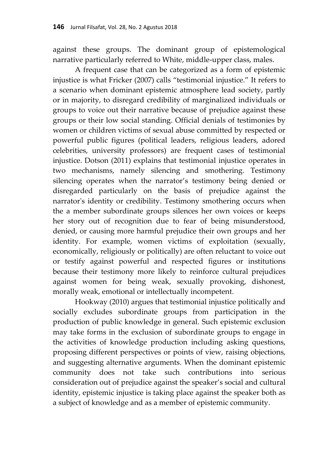against these groups. The dominant group of epistemological narrative particularly referred to White, middle-upper class, males.

A frequent case that can be categorized as a form of epistemic injustice is what Fricker (2007) calls "testimonial injustice." It refers to a scenario when dominant epistemic atmosphere lead society, partly or in majority, to disregard credibility of marginalized individuals or groups to voice out their narrative because of prejudice against these groups or their low social standing. Official denials of testimonies by women or children victims of sexual abuse committed by respected or powerful public figures (political leaders, religious leaders, adored celebrities, university professors) are frequent cases of testimonial injustice. Dotson (2011) explains that testimonial injustice operates in two mechanisms, namely silencing and smothering. Testimony silencing operates when the narrator's testimony being denied or disregarded particularly on the basis of prejudice against the narrator's identity or credibility. Testimony smothering occurs when the a member subordinate groups silences her own voices or keeps her story out of recognition due to fear of being misunderstood, denied, or causing more harmful prejudice their own groups and her identity. For example, women victims of exploitation (sexually, economically, religiously or politically) are often reluctant to voice out or testify against powerful and respected figures or institutions because their testimony more likely to reinforce cultural prejudices against women for being weak, sexually provoking, dishonest, morally weak, emotional or intellectually incompetent.

Hookway (2010) argues that testimonial injustice politically and socially excludes subordinate groups from participation in the production of public knowledge in general. Such epistemic exclusion may take forms in the exclusion of subordinate groups to engage in the activities of knowledge production including asking questions, proposing different perspectives or points of view, raising objections, and suggesting alternative arguments. When the dominant epistemic community does not take such contributions into serious consideration out of prejudice against the speaker's social and cultural identity, epistemic injustice is taking place against the speaker both as a subject of knowledge and as a member of epistemic community.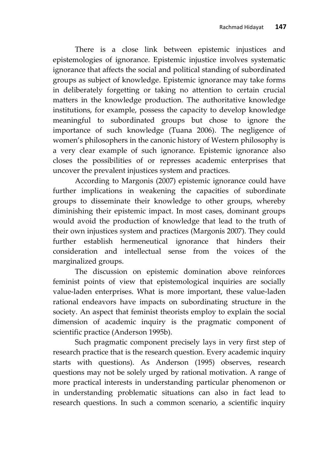There is a close link between epistemic injustices and epistemologies of ignorance. Epistemic injustice involves systematic ignorance that affects the social and political standing of subordinated groups as subject of knowledge. Epistemic ignorance may take forms in deliberately forgetting or taking no attention to certain crucial matters in the knowledge production. The authoritative knowledge institutions, for example, possess the capacity to develop knowledge meaningful to subordinated groups but chose to ignore the importance of such knowledge (Tuana 2006). The negligence of women's philosophers in the canonic history of Western philosophy is a very clear example of such ignorance. Epistemic ignorance also closes the possibilities of or represses academic enterprises that uncover the prevalent injustices system and practices.

According to Margonis (2007) epistemic ignorance could have further implications in weakening the capacities of subordinate groups to disseminate their knowledge to other groups, whereby diminishing their epistemic impact. In most cases, dominant groups would avoid the production of knowledge that lead to the truth of their own injustices system and practices (Margonis 2007). They could further establish hermeneutical ignorance that hinders their consideration and intellectual sense from the voices of the marginalized groups.

The discussion on epistemic domination above reinforces feminist points of view that epistemological inquiries are socially value-laden enterprises. What is more important, these value-laden rational endeavors have impacts on subordinating structure in the society. An aspect that feminist theorists employ to explain the social dimension of academic inquiry is the pragmatic component of scientific practice (Anderson 1995b).

Such pragmatic component precisely lays in very first step of research practice that is the research question. Every academic inquiry starts with questions). As Anderson (1995) observes, research questions may not be solely urged by rational motivation. A range of more practical interests in understanding particular phenomenon or in understanding problematic situations can also in fact lead to research questions. In such a common scenario, a scientific inquiry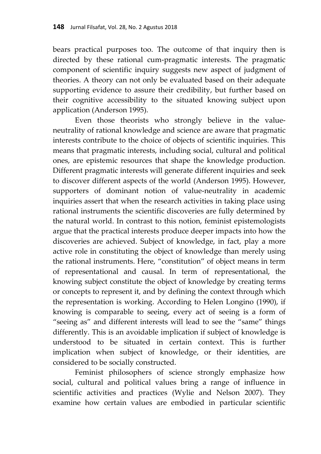bears practical purposes too. The outcome of that inquiry then is directed by these rational cum-pragmatic interests. The pragmatic component of scientific inquiry suggests new aspect of judgment of theories. A theory can not only be evaluated based on their adequate supporting evidence to assure their credibility, but further based on their cognitive accessibility to the situated knowing subject upon application (Anderson 1995).

Even those theorists who strongly believe in the valueneutrality of rational knowledge and science are aware that pragmatic interests contribute to the choice of objects of scientific inquiries. This means that pragmatic interests, including social, cultural and political ones, are epistemic resources that shape the knowledge production. Different pragmatic interests will generate different inquiries and seek to discover different aspects of the world (Anderson 1995). However, supporters of dominant notion of value-neutrality in academic inquiries assert that when the research activities in taking place using rational instruments the scientific discoveries are fully determined by the natural world. In contrast to this notion, feminist epistemologists argue that the practical interests produce deeper impacts into how the discoveries are achieved. Subject of knowledge, in fact, play a more active role in constituting the object of knowledge than merely using the rational instruments. Here, "constitution" of object means in term of representational and causal. In term of representational, the knowing subject constitute the object of knowledge by creating terms or concepts to represent it, and by defining the context through which the representation is working. According to Helen Longino (1990), if knowing is comparable to seeing, every act of seeing is a form of "seeing as" and different interests will lead to see the "same" things differently. This is an avoidable implication if subject of knowledge is understood to be situated in certain context. This is further implication when subject of knowledge, or their identities, are considered to be socially constructed.

Feminist philosophers of science strongly emphasize how social, cultural and political values bring a range of influence in scientific activities and practices (Wylie and Nelson 2007). They examine how certain values are embodied in particular scientific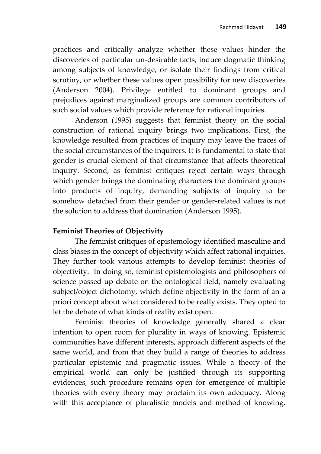practices and critically analyze whether these values hinder the discoveries of particular un-desirable facts, induce dogmatic thinking among subjects of knowledge, or isolate their findings from critical scrutiny, or whether these values open possibility for new discoveries (Anderson 2004). Privilege entitled to dominant groups and prejudices against marginalized groups are common contributors of such social values which provide reference for rational inquiries.

Anderson (1995) suggests that feminist theory on the social construction of rational inquiry brings two implications. First, the knowledge resulted from practices of inquiry may leave the traces of the social circumstances of the inquirers. It is fundamental to state that gender is crucial element of that circumstance that affects theoretical inquiry. Second, as feminist critiques reject certain ways through which gender brings the dominating characters the dominant groups into products of inquiry, demanding subjects of inquiry to be somehow detached from their gender or gender-related values is not the solution to address that domination (Anderson 1995).

## **Feminist Theories of Objectivity**

The feminist critiques of epistemology identified masculine and class biases in the concept of objectivity which affect rational inquiries. They further took various attempts to develop feminist theories of objectivity. In doing so, feminist epistemologists and philosophers of science passed up debate on the ontological field, namely evaluating subject/object dichotomy, which define objectivity in the form of an a priori concept about what considered to be really exists. They opted to let the debate of what kinds of reality exist open.

Feminist theories of knowledge generally shared a clear intention to open room for plurality in ways of knowing. Epistemic communities have different interests, approach different aspects of the same world, and from that they build a range of theories to address particular epistemic and pragmatic issues. While a theory of the empirical world can only be justified through its supporting evidences, such procedure remains open for emergence of multiple theories with every theory may proclaim its own adequacy. Along with this acceptance of pluralistic models and method of knowing,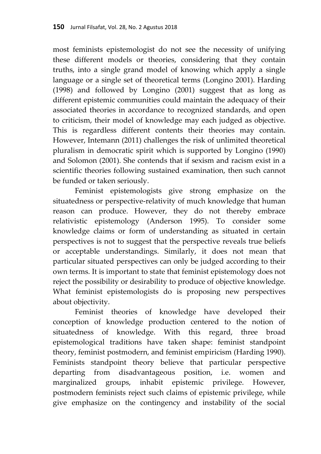most feminists epistemologist do not see the necessity of unifying these different models or theories, considering that they contain truths, into a single grand model of knowing which apply a single language or a single set of theoretical terms (Longino 2001). Harding (1998) and followed by Longino (2001) suggest that as long as different epistemic communities could maintain the adequacy of their associated theories in accordance to recognized standards, and open to criticism, their model of knowledge may each judged as objective. This is regardless different contents their theories may contain. However, Intemann (2011) challenges the risk of unlimited theoretical pluralism in democratic spirit which is supported by Longino (1990) and Solomon (2001). She contends that if sexism and racism exist in a scientific theories following sustained examination, then such cannot be funded or taken seriously.

Feminist epistemologists give strong emphasize on the situatedness or perspective-relativity of much knowledge that human reason can produce. However, they do not thereby embrace relativistic epistemology (Anderson 1995). To consider some knowledge claims or form of understanding as situated in certain perspectives is not to suggest that the perspective reveals true beliefs or acceptable understandings. Similarly, it does not mean that particular situated perspectives can only be judged according to their own terms. It is important to state that feminist epistemology does not reject the possibility or desirability to produce of objective knowledge. What feminist epistemologists do is proposing new perspectives about objectivity.

Feminist theories of knowledge have developed their conception of knowledge production centered to the notion of situatedness of knowledge. With this regard, three broad epistemological traditions have taken shape: feminist standpoint theory, feminist postmodern, and feminist empiricism (Harding 1990). Feminists standpoint theory believe that particular perspective departing from disadvantageous position, i.e. women and marginalized groups, inhabit epistemic privilege. However, postmodern feminists reject such claims of epistemic privilege, while give emphasize on the contingency and instability of the social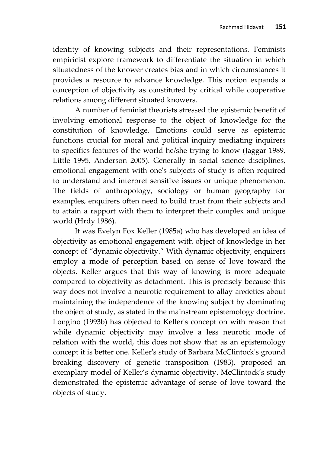identity of knowing subjects and their representations. Feminists empiricist explore framework to differentiate the situation in which situatedness of the knower creates bias and in which circumstances it provides a resource to advance knowledge. This notion expands a conception of objectivity as constituted by critical while cooperative relations among different situated knowers.

A number of feminist theorists stressed the epistemic benefit of involving emotional response to the object of knowledge for the constitution of knowledge. Emotions could serve as epistemic functions crucial for moral and political inquiry mediating inquirers to specifics features of the world he/she trying to know (Jaggar 1989, Little 1995, Anderson 2005). Generally in social science disciplines, emotional engagement with one's subjects of study is often required to understand and interpret sensitive issues or unique phenomenon. The fields of anthropology, sociology or human geography for examples, enquirers often need to build trust from their subjects and to attain a rapport with them to interpret their complex and unique world (Hrdy 1986).

It was Evelyn Fox Keller (1985a) who has developed an idea of objectivity as emotional engagement with object of knowledge in her concept of "dynamic objectivity." With dynamic objectivity, enquirers employ a mode of perception based on sense of love toward the objects. Keller argues that this way of knowing is more adequate compared to objectivity as detachment. This is precisely because this way does not involve a neurotic requirement to allay anxieties about maintaining the independence of the knowing subject by dominating the object of study, as stated in the mainstream epistemology doctrine. Longino (1993b) has objected to Keller's concept on with reason that while dynamic objectivity may involve a less neurotic mode of relation with the world, this does not show that as an epistemology concept it is better one. Keller's study of Barbara McClintock's ground breaking discovery of genetic transposition (1983), proposed an exemplary model of Keller's dynamic objectivity. McClintock's study demonstrated the epistemic advantage of sense of love toward the objects of study.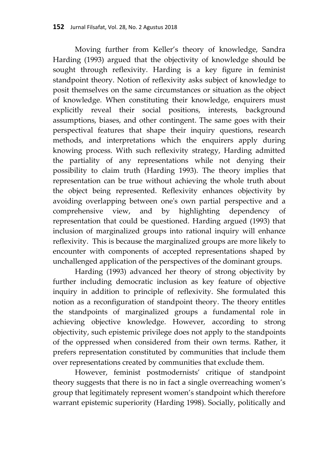Moving further from Keller's theory of knowledge, Sandra Harding (1993) argued that the objectivity of knowledge should be sought through reflexivity. Harding is a key figure in feminist standpoint theory. Notion of reflexivity asks subject of knowledge to posit themselves on the same circumstances or situation as the object of knowledge. When constituting their knowledge, enquirers must explicitly reveal their social positions, interests, background assumptions, biases, and other contingent. The same goes with their perspectival features that shape their inquiry questions, research methods, and interpretations which the enquirers apply during knowing process. With such reflexivity strategy, Harding admitted the partiality of any representations while not denying their possibility to claim truth (Harding 1993). The theory implies that representation can be true without achieving the whole truth about the object being represented. Reflexivity enhances objectivity by avoiding overlapping between one's own partial perspective and a comprehensive view, and by highlighting dependency of representation that could be questioned. Harding argued (1993) that inclusion of marginalized groups into rational inquiry will enhance reflexivity. This is because the marginalized groups are more likely to encounter with components of accepted representations shaped by unchallenged application of the perspectives of the dominant groups.

Harding (1993) advanced her theory of strong objectivity by further including democratic inclusion as key feature of objective inquiry in addition to principle of reflexivity. She formulated this notion as a reconfiguration of standpoint theory. The theory entitles the standpoints of marginalized groups a fundamental role in achieving objective knowledge. However, according to strong objectivity, such epistemic privilege does not apply to the standpoints of the oppressed when considered from their own terms. Rather, it prefers representation constituted by communities that include them over representations created by communities that exclude them.

However, feminist postmodernists' critique of standpoint theory suggests that there is no in fact a single overreaching women's group that legitimately represent women's standpoint which therefore warrant epistemic superiority (Harding 1998). Socially, politically and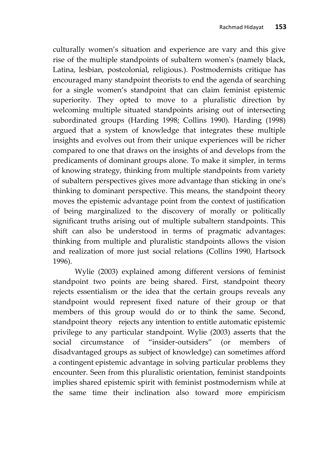culturally women's situation and experience are vary and this give rise of the multiple standpoints of subaltern women's (namely black, Latina, lesbian, postcolonial, religious.). Postmodernists critique has encouraged many standpoint theorists to end the agenda of searching for a single women's standpoint that can claim feminist epistemic superiority. They opted to move to a pluralistic direction by welcoming multiple situated standpoints arising out of intersecting subordinated groups (Harding 1998; Collins 1990). Harding (1998) argued that a system of knowledge that integrates these multiple insights and evolves out from their unique experiences will be richer compared to one that draws on the insights of and develops from the predicaments of dominant groups alone. To make it simpler, in terms of knowing strategy, thinking from multiple standpoints from variety of subaltern perspectives gives more advantage than sticking in one's thinking to dominant perspective. This means, the standpoint theory moves the epistemic advantage point from the context of justification of being marginalized to the discovery of morally or politically significant truths arising out of multiple subaltern standpoints. This shift can also be understood in terms of pragmatic advantages: thinking from multiple and pluralistic standpoints allows the vision and realization of more just social relations (Collins 1990, Hartsock 1996).

Wylie (2003) explained among different versions of feminist standpoint two points are being shared. First, standpoint theory rejects essentialism or the idea that the certain groups reveals any standpoint would represent fixed nature of their group or that members of this group would do or to think the same. Second, standpoint theory rejects any intention to entitle automatic epistemic privilege to any particular standpoint. Wylie (2003) asserts that the social circumstance of "insider-outsiders" (or members of disadvantaged groups as subject of knowledge) can sometimes afford a contingent epistemic advantage in solving particular problems they encounter. Seen from this pluralistic orientation, feminist standpoints implies shared epistemic spirit with feminist postmodernism while at the same time their inclination also toward more empiricism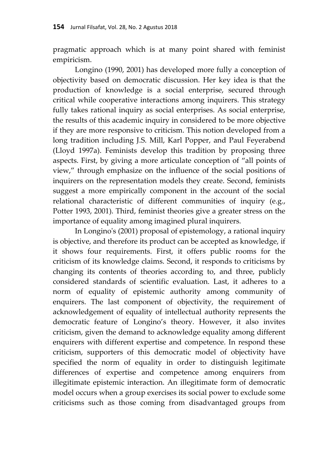pragmatic approach which is at many point shared with feminist empiricism.

Longino (1990, 2001) has developed more fully a conception of objectivity based on democratic discussion. Her key idea is that the production of knowledge is a social enterprise, secured through critical while cooperative interactions among inquirers. This strategy fully takes rational inquiry as social enterprises. As social enterprise, the results of this academic inquiry in considered to be more objective if they are more responsive to criticism. This notion developed from a long tradition including J.S. Mill, Karl Popper, and Paul Feyerabend (Lloyd 1997a). Feminists develop this tradition by proposing three aspects. First, by giving a more articulate conception of "all points of view," through emphasize on the influence of the social positions of inquirers on the representation models they create. Second, feminists suggest a more empirically component in the account of the social relational characteristic of different communities of inquiry (e.g., Potter 1993, 2001). Third, feminist theories give a greater stress on the importance of equality among imagined plural inquirers.

In Longino's (2001) proposal of epistemology, a rational inquiry is objective, and therefore its product can be accepted as knowledge, if it shows four requirements. First, it offers public rooms for the criticism of its knowledge claims. Second, it responds to criticisms by changing its contents of theories according to, and three, publicly considered standards of scientific evaluation. Last, it adheres to a norm of equality of epistemic authority among community of enquirers. The last component of objectivity, the requirement of acknowledgement of equality of intellectual authority represents the democratic feature of Longino's theory. However, it also invites criticism, given the demand to acknowledge equality among different enquirers with different expertise and competence. In respond these criticism, supporters of this democratic model of objectivity have specified the norm of equality in order to distinguish legitimate differences of expertise and competence among enquirers from illegitimate epistemic interaction. An illegitimate form of democratic model occurs when a group exercises its social power to exclude some criticisms such as those coming from disadvantaged groups from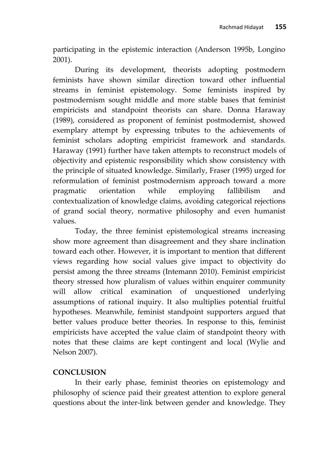participating in the epistemic interaction (Anderson 1995b, Longino 2001).

During its development, theorists adopting postmodern feminists have shown similar direction toward other influential streams in feminist epistemology. Some feminists inspired by postmodernism sought middle and more stable bases that feminist empiricists and standpoint theorists can share. Donna Haraway (1989), considered as proponent of feminist postmodernist, showed exemplary attempt by expressing tributes to the achievements of feminist scholars adopting empiricist framework and standards. Haraway (1991) further have taken attempts to reconstruct models of objectivity and epistemic responsibility which show consistency with the principle of situated knowledge. Similarly, Fraser (1995) urged for reformulation of feminist postmodernism approach toward a more pragmatic orientation while employing fallibilism and contextualization of knowledge claims, avoiding categorical rejections of grand social theory, normative philosophy and even humanist values.

Today, the three feminist epistemological streams increasing show more agreement than disagreement and they share inclination toward each other. However, it is important to mention that different views regarding how social values give impact to objectivity do persist among the three streams (Intemann 2010). Feminist empiricist theory stressed how pluralism of values within enquirer community will allow critical examination of unquestioned underlying assumptions of rational inquiry. It also multiplies potential fruitful hypotheses. Meanwhile, feminist standpoint supporters argued that better values produce better theories. In response to this, feminist empiricists have accepted the value claim of standpoint theory with notes that these claims are kept contingent and local (Wylie and Nelson 2007).

## **CONCLUSION**

In their early phase, feminist theories on epistemology and philosophy of science paid their greatest attention to explore general questions about the inter-link between gender and knowledge. They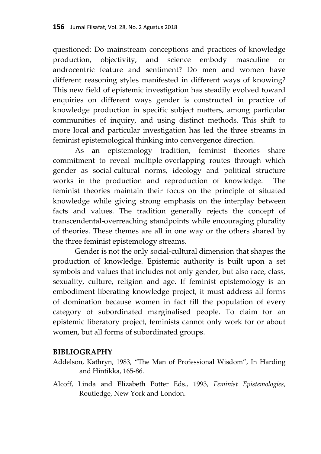questioned: Do mainstream conceptions and practices of knowledge production, objectivity, and science embody masculine or androcentric feature and sentiment? Do men and women have different reasoning styles manifested in different ways of knowing? This new field of epistemic investigation has steadily evolved toward enquiries on different ways gender is constructed in practice of knowledge production in specific subject matters, among particular communities of inquiry, and using distinct methods. This shift to more local and particular investigation has led the three streams in feminist epistemological thinking into convergence direction.

As an epistemology tradition, feminist theories share commitment to reveal multiple-overlapping routes through which gender as social-cultural norms, ideology and political structure works in the production and reproduction of knowledge. The feminist theories maintain their focus on the principle of situated knowledge while giving strong emphasis on the interplay between facts and values. The tradition generally rejects the concept of transcendental-overreaching standpoints while encouraging plurality of theories. These themes are all in one way or the others shared by the three feminist epistemology streams.

Gender is not the only social-cultural dimension that shapes the production of knowledge. Epistemic authority is built upon a set symbols and values that includes not only gender, but also race, class, sexuality, culture, religion and age. If feminist epistemology is an embodiment liberating knowledge project, it must address all forms of domination because women in fact fill the population of every category of subordinated marginalised people. To claim for an epistemic liberatory project, feminists cannot only work for or about women, but all forms of subordinated groups.

### **BIBLIOGRAPHY**

- Addelson, Kathryn, 1983, "The Man of Professional Wisdom", In Harding and Hintikka, 165-86.
- Alcoff, Linda and Elizabeth Potter Eds., 1993, *Feminist Epistemologies*, Routledge, New York and London.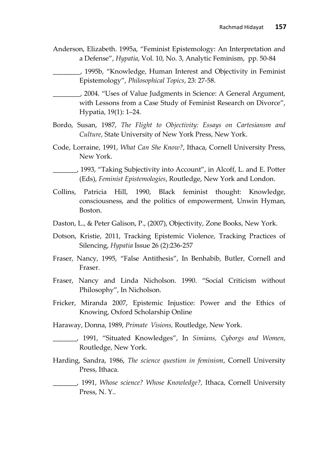Anderson, Elizabeth. 1995a, "Feminist Epistemology: An Interpretation and a Defense", *Hypatia*, Vol. 10, No. 3, Analytic Feminism, pp. 50-84

\_\_\_\_\_\_\_\_, 1995b, "Knowledge, Human Interest and Objectivity in Feminist Epistemology", *Philosophical Topics*, 23: 27-58.

\_\_\_\_\_\_\_\_, 2004. "Uses of Value Judgments in Science: A General Argument, with Lessons from a Case Study of Feminist Research on Divorce", Hypatia, 19(1): 1–24.

- Bordo, Susan, 1987, *The Flight to Objectivity: Essays on Cartesiansm and Culture*, State University of New York Press, New York.
- Code, Lorraine, 1991, *What Can She Know?*, Ithaca, Cornell University Press, New York.

\_\_\_\_\_\_\_, 1993, "Taking Subjectivity into Account", in Alcoff, L. and E. Potter (Eds), *Feminist Epistemologies*, Routledge, New York and London.

- Collins, Patricia Hill, 1990, Black feminist thought: Knowledge, consciousness, and the politics of empowerment, Unwin Hyman, Boston.
- Daston, L., & Peter Galison, P., (2007), Objectivity, Zone Books, New York.
- Dotson, Kristie, 2011, Tracking Epistemic Violence, Tracking Practices of Silencing, *Hypatia* Issue 26 (2):236-257
- Fraser, Nancy, 1995, "False Antithesis", In Benhabib, Butler, Cornell and Fraser.
- Fraser, Nancy and Linda Nicholson. 1990. "Social Criticism without Philosophy", In Nicholson.
- Fricker, Miranda 2007, Epistemic Injustice: Power and the Ethics of Knowing, Oxford Scholarship Online
- Haraway, Donna, 1989, *Primate Visions,* Routledge, New York.
- \_\_\_\_\_\_\_, 1991, "Situated Knowledges", In *Simians, Cyborgs and Women*, Routledge, New York.
- Harding, Sandra, 1986, *The science question in feminism*, Cornell University Press, Ithaca.
- \_\_\_\_\_\_\_, 1991, *Whose science? Whose Knowledge?,* Ithaca, Cornell University Press, N. Y..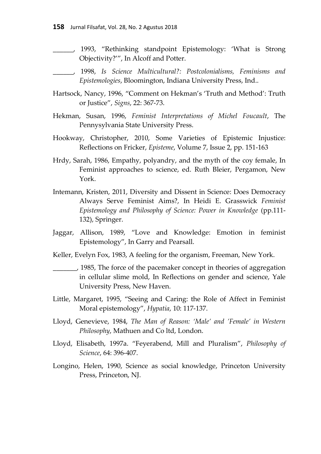- \_\_\_\_\_\_, 1993, "Rethinking standpoint Epistemology: 'What is Strong Objectivity?'", In Alcoff and Potter.
	- \_\_\_\_\_\_, 1998, *Is Science Multicultural?: Postcolonialisms, Feminisms and Epistemologies*, Bloomington, Indiana University Press, Ind..
- Hartsock, Nancy, 1996, "Comment on Hekman's 'Truth and Method': Truth or Justice", *Signs*, 22: 367-73.
- Hekman, Susan, 1996, *Feminist Interpretations of Michel Foucault*, The Pennysylvania State University Press.
- Hookway, Christopher, 2010, Some Varieties of Epistemic Injustice: Reflections on Fricker, *Episteme*, Volume 7, Issue 2, pp. 151-163
- Hrdy, Sarah, 1986, Empathy, polyandry, and the myth of the coy female, In Feminist approaches to science, ed. Ruth Bleier, Pergamon, New York.
- Intemann, Kristen, 2011, Diversity and Dissent in Science: Does Democracy Always Serve Feminist Aims?, In Heidi E. Grasswick *Feminist Epistemology and Philosophy of Science: Power in Knowledge* (pp.111- 132), Springer.
- Jaggar, Allison, 1989, "Love and Knowledge: Emotion in feminist Epistemology", In Garry and Pearsall.
- Keller, Evelyn Fox, 1983, A feeling for the organism, Freeman, New York.
- \_\_\_\_\_\_\_, 1985, The force of the pacemaker concept in theories of aggregation in cellular slime mold, In Reflections on gender and science, Yale University Press, New Haven.
- Little, Margaret, 1995, "Seeing and Caring: the Role of Affect in Feminist Moral epistemology", *Hypatia*, 10: 117-137.
- Lloyd, Genevieve, 1984, *The Man of Reason: 'Male' and 'Female' in Western Philosophy*, Mathuen and Co ltd, London.
- Lloyd, Elisabeth, 1997a. "Feyerabend, Mill and Pluralism", *Philosophy of Science*, 64: 396-407.
- Longino, Helen, 1990, Science as social knowledge, Princeton University Press, Princeton, NJ.